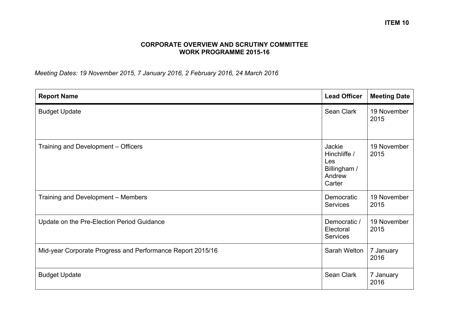## **CORPORATE OVERVIEW AND SCRUTINY COMMITTEE WORK PROGRAMME 2015-16**

*Meeting Dates: 19 November 2015, 7 January 2016, 2 February 2016, 24 March 2016*

| <b>Report Name</b>                                         | <b>Lead Officer</b>                                               | <b>Meeting Date</b> |
|------------------------------------------------------------|-------------------------------------------------------------------|---------------------|
| <b>Budget Update</b>                                       | Sean Clark                                                        | 19 November<br>2015 |
| Training and Development - Officers                        | Jackie<br>Hinchliffe /<br>Les<br>Billingham /<br>Andrew<br>Carter | 19 November<br>2015 |
| Training and Development - Members                         | Democratic<br><b>Services</b>                                     | 19 November<br>2015 |
| Update on the Pre-Election Period Guidance                 | Democratic /<br>Electoral<br><b>Services</b>                      | 19 November<br>2015 |
| Mid-year Corporate Progress and Performance Report 2015/16 | Sarah Welton                                                      | 7 January<br>2016   |
| <b>Budget Update</b>                                       | Sean Clark                                                        | 7 January<br>2016   |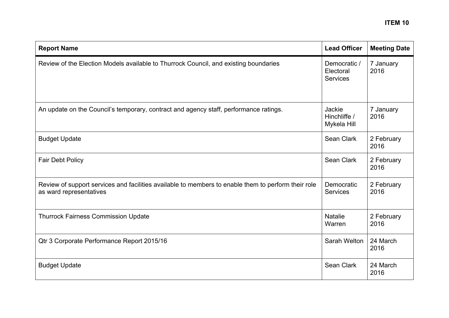| <b>Report Name</b>                                                                                                             | <b>Lead Officer</b>                          | <b>Meeting Date</b> |
|--------------------------------------------------------------------------------------------------------------------------------|----------------------------------------------|---------------------|
| Review of the Election Models available to Thurrock Council, and existing boundaries                                           | Democratic /<br>Electoral<br><b>Services</b> | 7 January<br>2016   |
| An update on the Council's temporary, contract and agency staff, performance ratings.                                          | Jackie<br>Hinchliffe /<br>Mykela Hill        | 7 January<br>2016   |
| <b>Budget Update</b>                                                                                                           | Sean Clark                                   | 2 February<br>2016  |
| <b>Fair Debt Policy</b>                                                                                                        | Sean Clark                                   | 2 February<br>2016  |
| Review of support services and facilities available to members to enable them to perform their role<br>as ward representatives | Democratic<br><b>Services</b>                | 2 February<br>2016  |
| <b>Thurrock Fairness Commission Update</b>                                                                                     | <b>Natalie</b><br>Warren                     | 2 February<br>2016  |
| Qtr 3 Corporate Performance Report 2015/16                                                                                     | Sarah Welton                                 | 24 March<br>2016    |
| <b>Budget Update</b>                                                                                                           | Sean Clark                                   | 24 March<br>2016    |